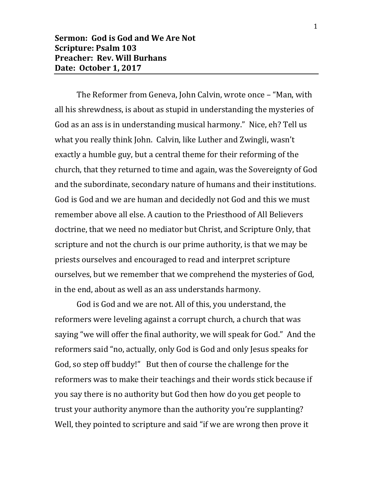The Reformer from Geneva, John Calvin, wrote once – "Man, with all his shrewdness, is about as stupid in understanding the mysteries of God as an ass is in understanding musical harmony." Nice, eh? Tell us what you really think John. Calvin, like Luther and Zwingli, wasn't exactly a humble guy, but a central theme for their reforming of the church, that they returned to time and again, was the Sovereignty of God and the subordinate, secondary nature of humans and their institutions. God is God and we are human and decidedly not God and this we must remember above all else. A caution to the Priesthood of All Believers doctrine, that we need no mediator but Christ, and Scripture Only, that scripture and not the church is our prime authority, is that we may be priests ourselves and encouraged to read and interpret scripture ourselves, but we remember that we comprehend the mysteries of God, in the end, about as well as an ass understands harmony.

God is God and we are not. All of this, you understand, the reformers were leveling against a corrupt church, a church that was saying "we will offer the final authority, we will speak for God." And the reformers said "no, actually, only God is God and only Jesus speaks for God, so step off buddy!" But then of course the challenge for the reformers was to make their teachings and their words stick because if you say there is no authority but God then how do you get people to trust your authority anymore than the authority you're supplanting? Well, they pointed to scripture and said "if we are wrong then prove it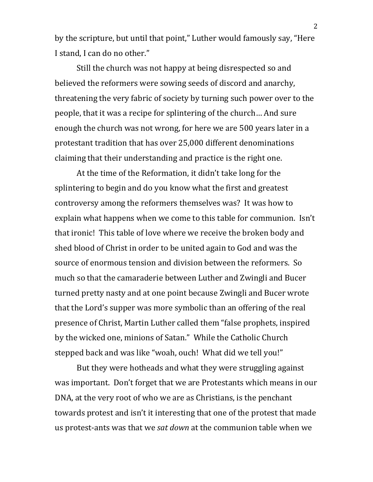by the scripture, but until that point," Luther would famously say, "Here I stand, I can do no other."

Still the church was not happy at being disrespected so and believed the reformers were sowing seeds of discord and anarchy, threatening the very fabric of society by turning such power over to the people, that it was a recipe for splintering of the church… And sure enough the church was not wrong, for here we are 500 years later in a protestant tradition that has over 25,000 different denominations claiming that their understanding and practice is the right one.

At the time of the Reformation, it didn't take long for the splintering to begin and do you know what the first and greatest controversy among the reformers themselves was? It was how to explain what happens when we come to this table for communion. Isn't that ironic! This table of love where we receive the broken body and shed blood of Christ in order to be united again to God and was the source of enormous tension and division between the reformers. So much so that the camaraderie between Luther and Zwingli and Bucer turned pretty nasty and at one point because Zwingli and Bucer wrote that the Lord's supper was more symbolic than an offering of the real presence of Christ, Martin Luther called them "false prophets, inspired by the wicked one, minions of Satan." While the Catholic Church stepped back and was like "woah, ouch! What did we tell you!"

But they were hotheads and what they were struggling against was important. Don't forget that we are Protestants which means in our DNA, at the very root of who we are as Christians, is the penchant towards protest and isn't it interesting that one of the protest that made us protest-ants was that we *sat down* at the communion table when we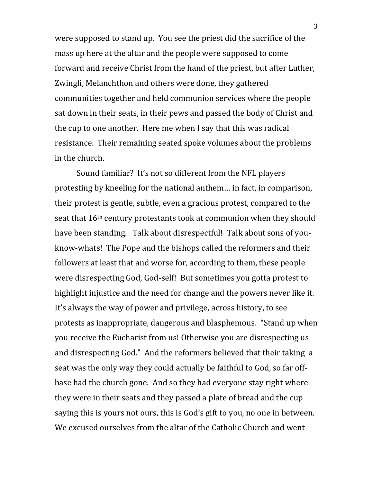were supposed to stand up. You see the priest did the sacrifice of the mass up here at the altar and the people were supposed to come forward and receive Christ from the hand of the priest, but after Luther, Zwingli, Melanchthon and others were done, they gathered communities together and held communion services where the people sat down in their seats, in their pews and passed the body of Christ and the cup to one another. Here me when I say that this was radical resistance. Their remaining seated spoke volumes about the problems in the church.

Sound familiar? It's not so different from the NFL players protesting by kneeling for the national anthem… in fact, in comparison, their protest is gentle, subtle, even a gracious protest, compared to the seat that 16th century protestants took at communion when they should have been standing. Talk about disrespectful! Talk about sons of youknow-whats! The Pope and the bishops called the reformers and their followers at least that and worse for, according to them, these people were disrespecting God, God-self! But sometimes you gotta protest to highlight injustice and the need for change and the powers never like it. It's always the way of power and privilege, across history, to see protests as inappropriate, dangerous and blasphemous. "Stand up when you receive the Eucharist from us! Otherwise you are disrespecting us and disrespecting God." And the reformers believed that their taking a seat was the only way they could actually be faithful to God, so far offbase had the church gone. And so they had everyone stay right where they were in their seats and they passed a plate of bread and the cup saying this is yours not ours, this is God's gift to you, no one in between. We excused ourselves from the altar of the Catholic Church and went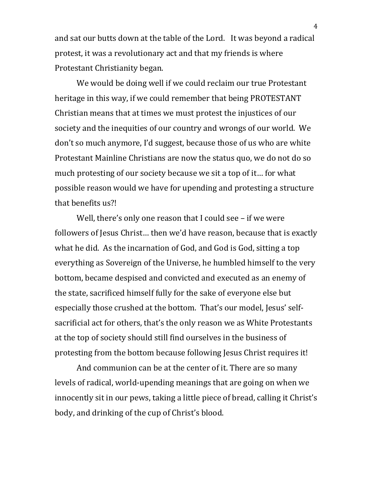and sat our butts down at the table of the Lord. It was beyond a radical protest, it was a revolutionary act and that my friends is where Protestant Christianity began.

We would be doing well if we could reclaim our true Protestant heritage in this way, if we could remember that being PROTESTANT Christian means that at times we must protest the injustices of our society and the inequities of our country and wrongs of our world. We don't so much anymore, I'd suggest, because those of us who are white Protestant Mainline Christians are now the status quo, we do not do so much protesting of our society because we sit a top of it… for what possible reason would we have for upending and protesting a structure that benefits us?!

Well, there's only one reason that I could see – if we were followers of Jesus Christ… then we'd have reason, because that is exactly what he did. As the incarnation of God, and God is God, sitting a top everything as Sovereign of the Universe, he humbled himself to the very bottom, became despised and convicted and executed as an enemy of the state, sacrificed himself fully for the sake of everyone else but especially those crushed at the bottom. That's our model, Jesus' selfsacrificial act for others, that's the only reason we as White Protestants at the top of society should still find ourselves in the business of protesting from the bottom because following Jesus Christ requires it!

And communion can be at the center of it. There are so many levels of radical, world-upending meanings that are going on when we innocently sit in our pews, taking a little piece of bread, calling it Christ's body, and drinking of the cup of Christ's blood.